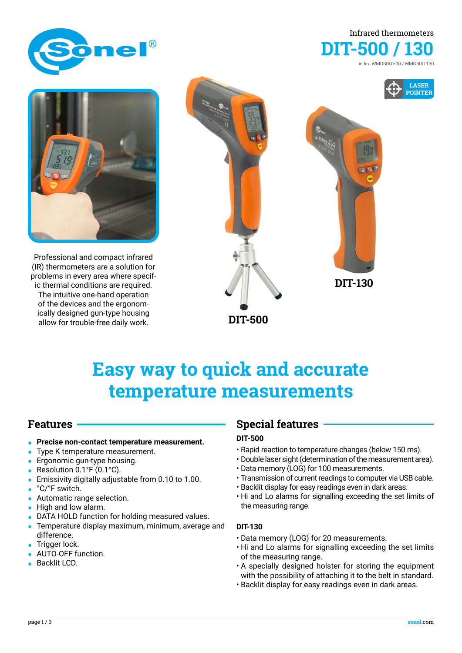





Professional and compact infrared (IR) thermometers are a solution for problems in every area where specific thermal conditions are required. The intuitive one-hand operation of the devices and the ergonomically designed gun-type housing allow for trouble-free daily work.



# **Easy way to quick and accurate temperature measurements**

### **Features**

- **• Precise non-contact temperature measurement.**
- **•** Type K temperature measurement.
- **•** Ergonomic gun-type housing.
- **•** Resolution 0.1°F (0.1°C).
- **•** Emissivity digitally adjustable from 0.10 to 1.00.
- **•** °C/°F switch.
- **•** Automatic range selection.
- **•** High and low alarm.
- **•** DATA HOLD function for holding measured values.
- **•** Temperature display maximum, minimum, average and difference.
- **•** Trigger lock.
- **•** AUTO-OFF function.
- **•** Backlit LCD.

### **Special features**

#### **DIT-500**

- Rapid reaction to temperature changes (below 150 ms).
- Double laser sight (determination of the measurement area).
- Data memory (LOG) for 100 measurements.
- Transmission of current readings to computer via USB cable.
- Backlit display for easy readings even in dark areas.
- Hi and Lo alarms for signalling exceeding the set limits of the measuring range.

#### **DIT-130**

- Data memory (LOG) for 20 measurements.
- Hi and Lo alarms for signalling exceeding the set limits of the measuring range.
- A specially designed holster for storing the equipment with the possibility of attaching it to the belt in standard.
- Backlit display for easy readings even in dark areas.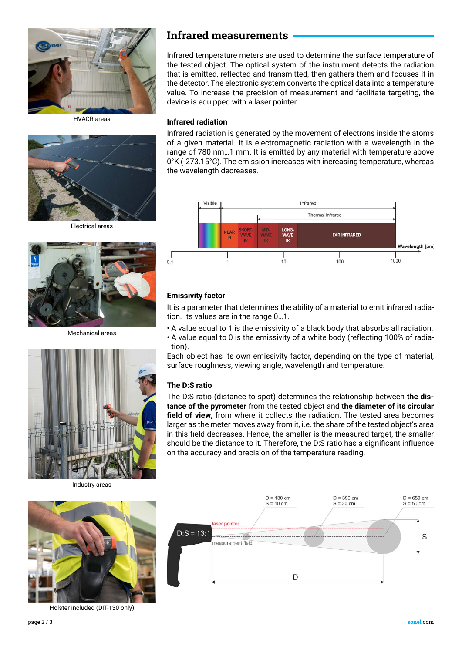

HVACR areas



Electrical areas



Mechanical areas



Industry areas



Holster included (DIT-130 only)

### **Infrared measurements**

Infrared temperature meters are used to determine the surface temperature of the tested object. The optical system of the instrument detects the radiation that is emitted, reflected and transmitted, then gathers them and focuses it in the detector. The electronic system converts the optical data into a temperature value. To increase the precision of measurement and facilitate targeting, the device is equipped with a laser pointer.

#### **Infrared radiation**

Infrared radiation is generated by the movement of electrons inside the atoms of a given material. It is electromagnetic radiation with a wavelength in the range of 780 nm…1 mm. It is emitted by any material with temperature above 0°K (-273.15°C). The emission increases with increasing temperature, whereas the wavelength decreases.



#### **Emissivity factor**

It is a parameter that determines the ability of a material to emit infrared radiation. Its values are in the range 0…1.

- A value equal to 1 is the emissivity of a black body that absorbs all radiation.
- A value equal to 0 is the emissivity of a white body (reflecting 100% of radiation).

Each object has its own emissivity factor, depending on the type of material, surface roughness, viewing angle, wavelength and temperature.

#### **The D:S ratio**

The D:S ratio (distance to spot) determines the relationship between **the distance of the pyrometer** from the tested object and t**he diameter of its circular field of view**, from where it collects the radiation. The tested area becomes larger as the meter moves away from it, i.e. the share of the tested object's area in this field decreases. Hence, the smaller is the measured target, the smaller should be the distance to it. Therefore, the D:S ratio has a significant influence on the accuracy and precision of the temperature reading.